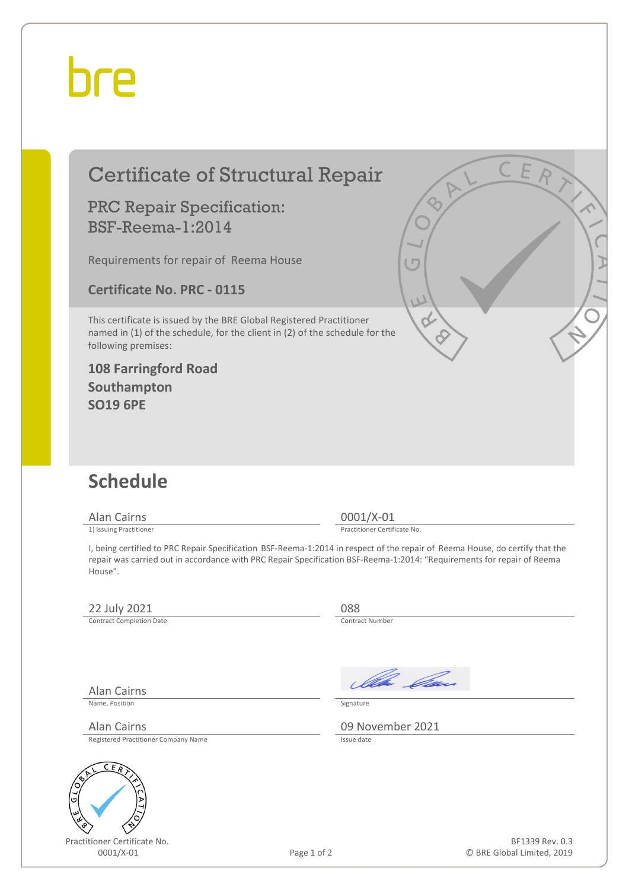## hre

### Certificate of Structural Repair

#### PRC Repair Specification: BSF-Reema-1:2014

Requirements for repair of Reema House

**Certificate No. PRC - 0115**

This certificate is issued by the BRE Global Registered Practitioner named in (1) of the schedule, for the client in (2) of the schedule for the following premises:

**108 Farringford Road Southampton SO19 6PE**

### **Schedule**

Alan Cairns 0001/X-01<br>
1) Issuing Practitioner<br>
1) Issuing Practitioner

Practitioner Certificate No.

I, being certified to PRC Repair Specification BSF-Reema-1:2014 in respect of the repair of Reema House, do certify that the repair was carried out in accordance with PRC Repair Specification BSF-Reema-1:2014: "Requirements for repair of Reema House".

#### 22 July 2021 088<br>
Contract Completion Date

Contract Completion Date

Alan Cairns

Name, Position Signature

Registered Practitioner Company Name



Practitioner Certificate No.

Ila *Ca*n

Alan Cairns 09 November 2021

BF1339 Rev. 0.3 © BRE Global Limited, 2019

Page 1 of 2